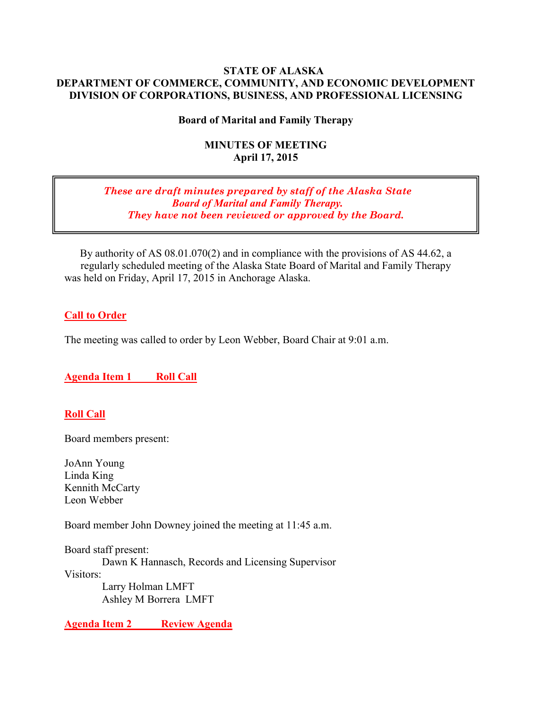#### **STATE OF ALASKA DEPARTMENT OF COMMERCE, COMMUNITY, AND ECONOMIC DEVELOPMENT DIVISION OF CORPORATIONS, BUSINESS, AND PROFESSIONAL LICENSING**

### **Board of Marital and Family Therapy**

#### **MINUTES OF MEETING April 17, 2015**

#### *These are draft minutes prepared by staff of the Alaska State Board of Marital and Family Therapy. They have not been reviewed or approved by the Board.*

By authority of AS 08.01.070(2) and in compliance with the provisions of AS 44.62, a regularly scheduled meeting of the Alaska State Board of Marital and Family Therapy was held on Friday, April 17, 2015 in Anchorage Alaska.

#### **Call to Order**

The meeting was called to order by Leon Webber, Board Chair at 9:01 a.m.

### **Agenda Item 1 Roll Call**

#### **Roll Call**

Board members present:

JoAnn Young Linda King Kennith McCarty Leon Webber

Board member John Downey joined the meeting at 11:45 a.m.

Board staff present: Dawn K Hannasch, Records and Licensing Supervisor Visitors: Larry Holman LMFT Ashley M Borrera LMFT

**Agenda Item 2 Review Agenda**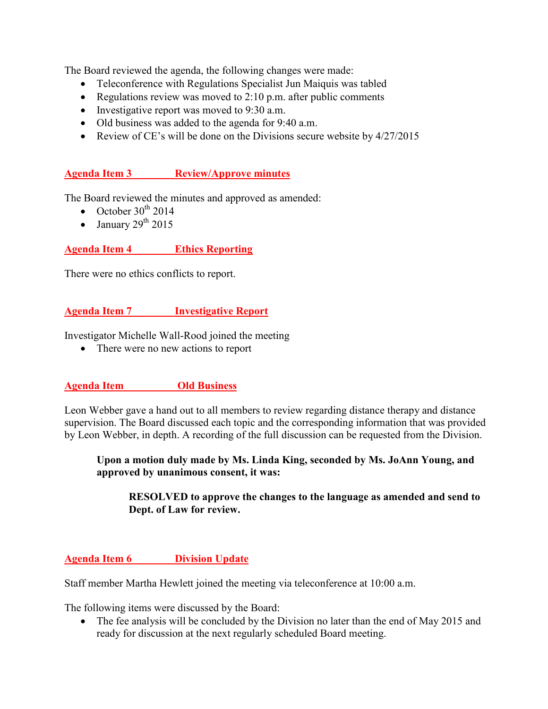The Board reviewed the agenda, the following changes were made:

- Teleconference with Regulations Specialist Jun Maiquis was tabled
- Regulations review was moved to 2:10 p.m. after public comments
- Investigative report was moved to 9:30 a.m.
- Old business was added to the agenda for 9:40 a.m.
- Review of CE's will be done on the Divisions secure website by  $4/27/2015$

#### **Agenda Item 3 Review/Approve minutes**

The Board reviewed the minutes and approved as amended:

- October  $30^{th}$  2014
- January  $29<sup>th</sup> 2015$

### **Agenda Item 4 Ethics Reporting**

There were no ethics conflicts to report.

#### **Agenda Item 7 Investigative Report**

Investigator Michelle Wall-Rood joined the meeting

• There were no new actions to report

### **Agenda Item Old Business**

Leon Webber gave a hand out to all members to review regarding distance therapy and distance supervision. The Board discussed each topic and the corresponding information that was provided by Leon Webber, in depth. A recording of the full discussion can be requested from the Division.

#### **Upon a motion duly made by Ms. Linda King, seconded by Ms. JoAnn Young, and approved by unanimous consent, it was:**

#### **RESOLVED to approve the changes to the language as amended and send to Dept. of Law for review.**

### **Agenda Item 6 Division Update**

Staff member Martha Hewlett joined the meeting via teleconference at 10:00 a.m.

The following items were discussed by the Board:

• The fee analysis will be concluded by the Division no later than the end of May 2015 and ready for discussion at the next regularly scheduled Board meeting.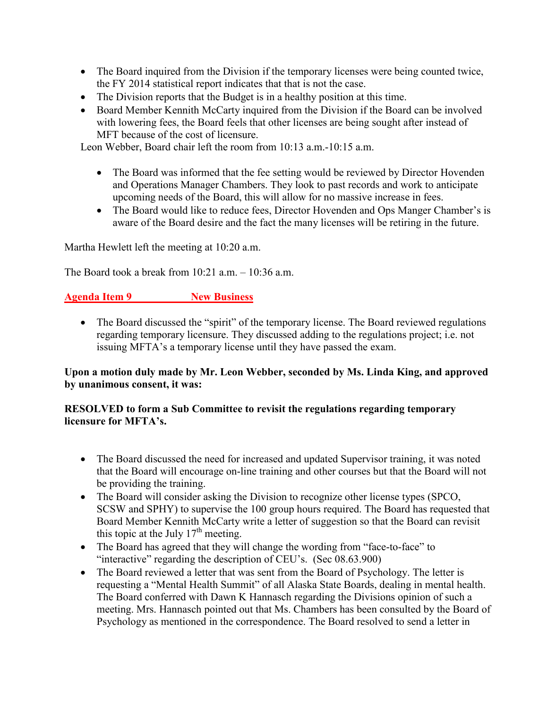- The Board inquired from the Division if the temporary licenses were being counted twice, the FY 2014 statistical report indicates that that is not the case.
- The Division reports that the Budget is in a healthy position at this time.
- Board Member Kennith McCarty inquired from the Division if the Board can be involved with lowering fees, the Board feels that other licenses are being sought after instead of MFT because of the cost of licensure.

Leon Webber, Board chair left the room from 10:13 a.m.-10:15 a.m.

- The Board was informed that the fee setting would be reviewed by Director Hovenden and Operations Manager Chambers. They look to past records and work to anticipate upcoming needs of the Board, this will allow for no massive increase in fees.
- The Board would like to reduce fees, Director Hovenden and Ops Manger Chamber's is aware of the Board desire and the fact the many licenses will be retiring in the future.

Martha Hewlett left the meeting at 10:20 a.m.

The Board took a break from  $10:21$  a.m.  $-10:36$  a.m.

# **Agenda Item 9 New Business**

• The Board discussed the "spirit" of the temporary license. The Board reviewed regulations regarding temporary licensure. They discussed adding to the regulations project; i.e. not issuing MFTA's a temporary license until they have passed the exam.

### **Upon a motion duly made by Mr. Leon Webber, seconded by Ms. Linda King, and approved by unanimous consent, it was:**

### **RESOLVED to form a Sub Committee to revisit the regulations regarding temporary licensure for MFTA's.**

- The Board discussed the need for increased and updated Supervisor training, it was noted that the Board will encourage on-line training and other courses but that the Board will not be providing the training.
- The Board will consider asking the Division to recognize other license types (SPCO, SCSW and SPHY) to supervise the 100 group hours required. The Board has requested that Board Member Kennith McCarty write a letter of suggestion so that the Board can revisit this topic at the July  $17<sup>th</sup>$  meeting.
- The Board has agreed that they will change the wording from "face-to-face" to "interactive" regarding the description of CEU's. (Sec 08.63.900)
- The Board reviewed a letter that was sent from the Board of Psychology. The letter is requesting a "Mental Health Summit" of all Alaska State Boards, dealing in mental health. The Board conferred with Dawn K Hannasch regarding the Divisions opinion of such a meeting. Mrs. Hannasch pointed out that Ms. Chambers has been consulted by the Board of Psychology as mentioned in the correspondence. The Board resolved to send a letter in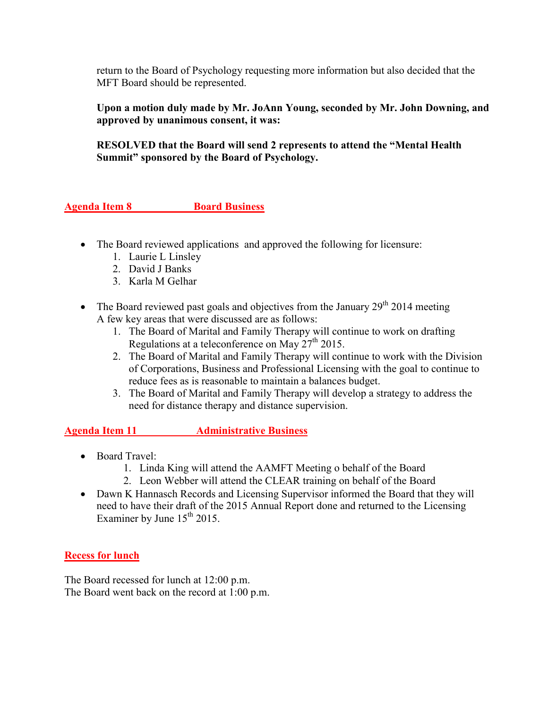return to the Board of Psychology requesting more information but also decided that the MFT Board should be represented.

**Upon a motion duly made by Mr. JoAnn Young, seconded by Mr. John Downing, and approved by unanimous consent, it was:**

**RESOLVED that the Board will send 2 represents to attend the "Mental Health Summit" sponsored by the Board of Psychology.** 

# **Agenda Item 8 Board Business**

- The Board reviewed applications and approved the following for licensure:
	- 1. Laurie L Linsley
	- 2. David J Banks
	- 3. Karla M Gelhar
- The Board reviewed past goals and objectives from the January  $29<sup>th</sup> 2014$  meeting A few key areas that were discussed are as follows:
	- 1. The Board of Marital and Family Therapy will continue to work on drafting Regulations at a teleconference on May 27th 2015.
	- 2. The Board of Marital and Family Therapy will continue to work with the Division of Corporations, Business and Professional Licensing with the goal to continue to reduce fees as is reasonable to maintain a balances budget.
	- 3. The Board of Marital and Family Therapy will develop a strategy to address the need for distance therapy and distance supervision.

### **Agenda Item 11 Administrative Business**

- Board Travel:
	- 1. Linda King will attend the AAMFT Meeting o behalf of the Board
	- 2. Leon Webber will attend the CLEAR training on behalf of the Board
- Dawn K Hannasch Records and Licensing Supervisor informed the Board that they will need to have their draft of the 2015 Annual Report done and returned to the Licensing Examiner by June  $15<sup>th</sup> 2015$ .

### **Recess for lunch**

The Board recessed for lunch at 12:00 p.m. The Board went back on the record at 1:00 p.m.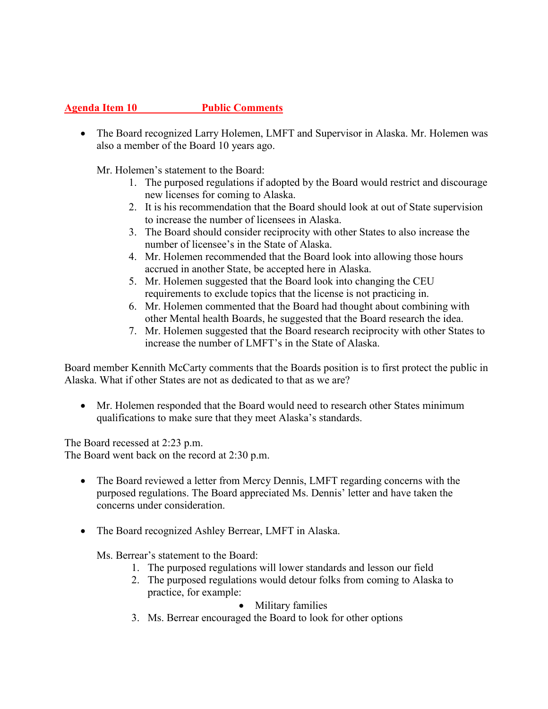# **Agenda Item 10 Public Comments**

• The Board recognized Larry Holemen, LMFT and Supervisor in Alaska. Mr. Holemen was also a member of the Board 10 years ago.

Mr. Holemen's statement to the Board:

- 1. The purposed regulations if adopted by the Board would restrict and discourage new licenses for coming to Alaska.
- 2. It is his recommendation that the Board should look at out of State supervision to increase the number of licensees in Alaska.
- 3. The Board should consider reciprocity with other States to also increase the number of licensee's in the State of Alaska.
- 4. Mr. Holemen recommended that the Board look into allowing those hours accrued in another State, be accepted here in Alaska.
- 5. Mr. Holemen suggested that the Board look into changing the CEU requirements to exclude topics that the license is not practicing in.
- 6. Mr. Holemen commented that the Board had thought about combining with other Mental health Boards, he suggested that the Board research the idea.
- 7. Mr. Holemen suggested that the Board research reciprocity with other States to increase the number of LMFT's in the State of Alaska.

Board member Kennith McCarty comments that the Boards position is to first protect the public in Alaska. What if other States are not as dedicated to that as we are?

• Mr. Holemen responded that the Board would need to research other States minimum qualifications to make sure that they meet Alaska's standards.

The Board recessed at 2:23 p.m. The Board went back on the record at 2:30 p.m.

- The Board reviewed a letter from Mercy Dennis, LMFT regarding concerns with the purposed regulations. The Board appreciated Ms. Dennis' letter and have taken the concerns under consideration.
- The Board recognized Ashley Berrear, LMFT in Alaska.

Ms. Berrear's statement to the Board:

- 1. The purposed regulations will lower standards and lesson our field
- 2. The purposed regulations would detour folks from coming to Alaska to practice, for example:

• Military families

3. Ms. Berrear encouraged the Board to look for other options